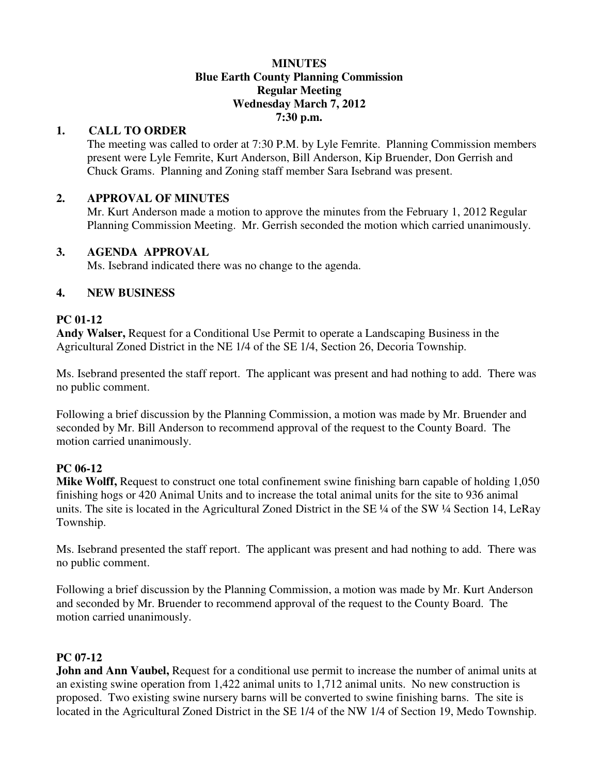#### **MINUTES Blue Earth County Planning Commission Regular Meeting Wednesday March 7, 2012 7:30 p.m.**

## **1. CALL TO ORDER**

The meeting was called to order at 7:30 P.M. by Lyle Femrite. Planning Commission members present were Lyle Femrite, Kurt Anderson, Bill Anderson, Kip Bruender, Don Gerrish and Chuck Grams. Planning and Zoning staff member Sara Isebrand was present.

### **2. APPROVAL OF MINUTES**

Mr. Kurt Anderson made a motion to approve the minutes from the February 1, 2012 Regular Planning Commission Meeting. Mr. Gerrish seconded the motion which carried unanimously.

### **3. AGENDA APPROVAL**

Ms. Isebrand indicated there was no change to the agenda.

### **4. NEW BUSINESS**

### **PC 01-12**

**Andy Walser,** Request for a Conditional Use Permit to operate a Landscaping Business in the Agricultural Zoned District in the NE 1/4 of the SE 1/4, Section 26, Decoria Township.

Ms. Isebrand presented the staff report. The applicant was present and had nothing to add. There was no public comment.

Following a brief discussion by the Planning Commission, a motion was made by Mr. Bruender and seconded by Mr. Bill Anderson to recommend approval of the request to the County Board. The motion carried unanimously.

## **PC 06-12**

**Mike Wolff,** Request to construct one total confinement swine finishing barn capable of holding 1,050 finishing hogs or 420 Animal Units and to increase the total animal units for the site to 936 animal units. The site is located in the Agricultural Zoned District in the SE ¼ of the SW ¼ Section 14, LeRay Township.

Ms. Isebrand presented the staff report. The applicant was present and had nothing to add. There was no public comment.

Following a brief discussion by the Planning Commission, a motion was made by Mr. Kurt Anderson and seconded by Mr. Bruender to recommend approval of the request to the County Board. The motion carried unanimously.

## **PC 07-12**

**John and Ann Vaubel,** Request for a conditional use permit to increase the number of animal units at an existing swine operation from 1,422 animal units to 1,712 animal units. No new construction is proposed. Two existing swine nursery barns will be converted to swine finishing barns. The site is located in the Agricultural Zoned District in the SE 1/4 of the NW 1/4 of Section 19, Medo Township.